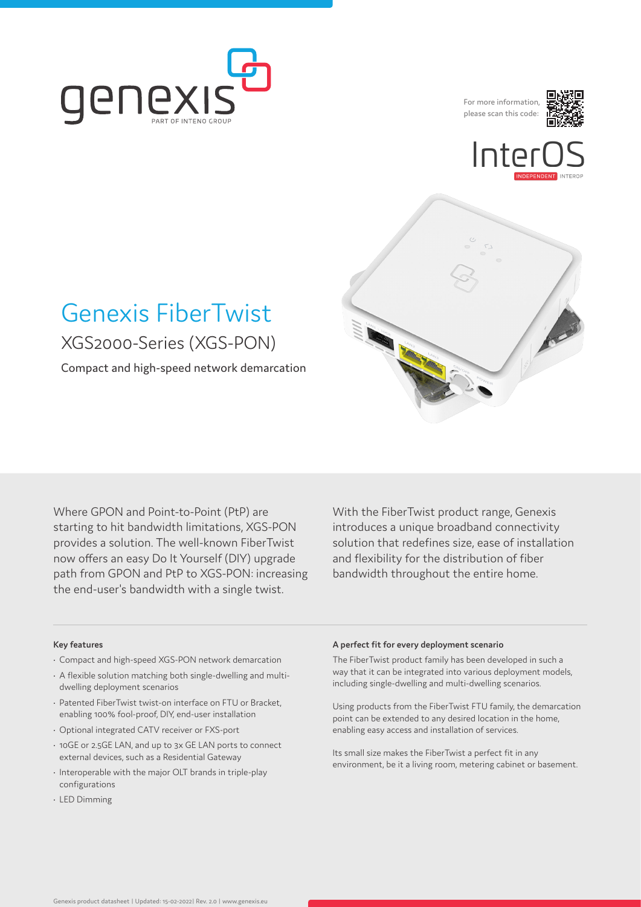

For more information, please scan this code:







# Genexis FiberTwist XGS2000-Series (XGS-PON)

Compact and high-speed network demarcation

Where GPON and Point-to-Point (PtP) are starting to hit bandwidth limitations, XGS-PON provides a solution. The well-known FiberTwist now offers an easy Do It Yourself (DIY) upgrade path from GPON and PtP to XGS-PON: increasing the end-user's bandwidth with a single twist.

With the FiberTwist product range, Genexis introduces a unique broadband connectivity solution that redefines size, ease of installation and flexibility for the distribution of fiber bandwidth throughout the entire home.

#### **Key features**

- Compact and high-speed XGS-PON network demarcation
- A flexible solution matching both single-dwelling and multidwelling deployment scenarios
- Patented FiberTwist twist-on interface on FTU or Bracket, enabling 100% fool-proof, DIY, end-user installation
- Optional integrated CATV receiver or FXS-port
- 10GE or 2.5GE LAN, and up to 3x GE LAN ports to connect external devices, such as a Residential Gateway
- Interoperable with the major OLT brands in triple-play configurations
- LED Dimming

#### **A perfect fit for every deployment scenario**

The FiberTwist product family has been developed in such a way that it can be integrated into various deployment models, including single-dwelling and multi-dwelling scenarios.

Using products from the FiberTwist FTU family, the demarcation point can be extended to any desired location in the home, enabling easy access and installation of services.

Its small size makes the FiberTwist a perfect fit in any environment, be it a living room, metering cabinet or basement.